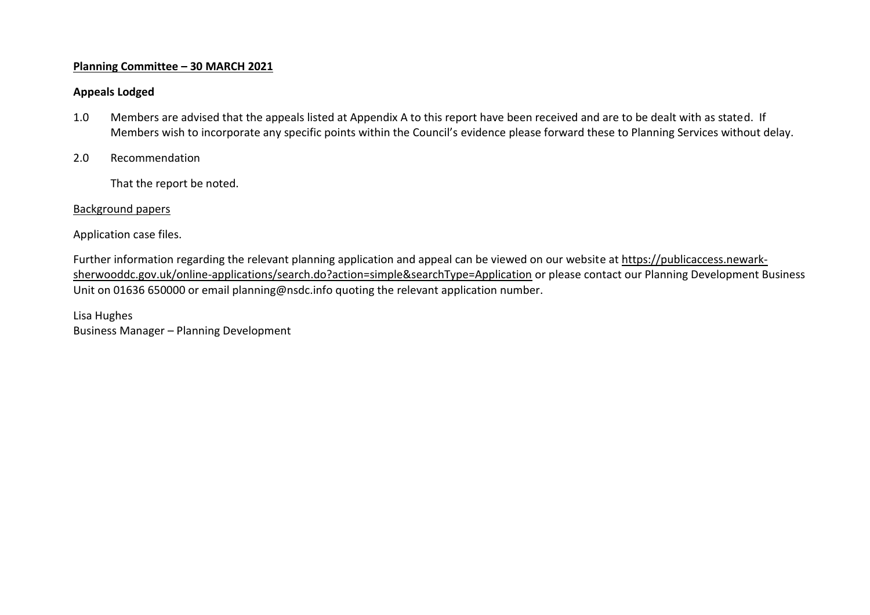## **Planning Committee – 30 MARCH 2021**

## **Appeals Lodged**

- 1.0 Members are advised that the appeals listed at Appendix A to this report have been received and are to be dealt with as stated. If Members wish to incorporate any specific points within the Council's evidence please forward these to Planning Services without delay.
- 2.0 Recommendation

That the report be noted.

## Background papers

Application case files.

Further information regarding the relevant planning application and appeal can be viewed on our website at [https://publicaccess.newark](https://publicaccess.newark-sherwooddc.gov.uk/online-applications/search.do?action=simple&searchType=Application)[sherwooddc.gov.uk/online-applications/search.do?action=simple&searchType=Application](https://publicaccess.newark-sherwooddc.gov.uk/online-applications/search.do?action=simple&searchType=Application) or please contact our Planning Development Business Unit on 01636 650000 or email planning@nsdc.info quoting the relevant application number.

Lisa Hughes Business Manager – Planning Development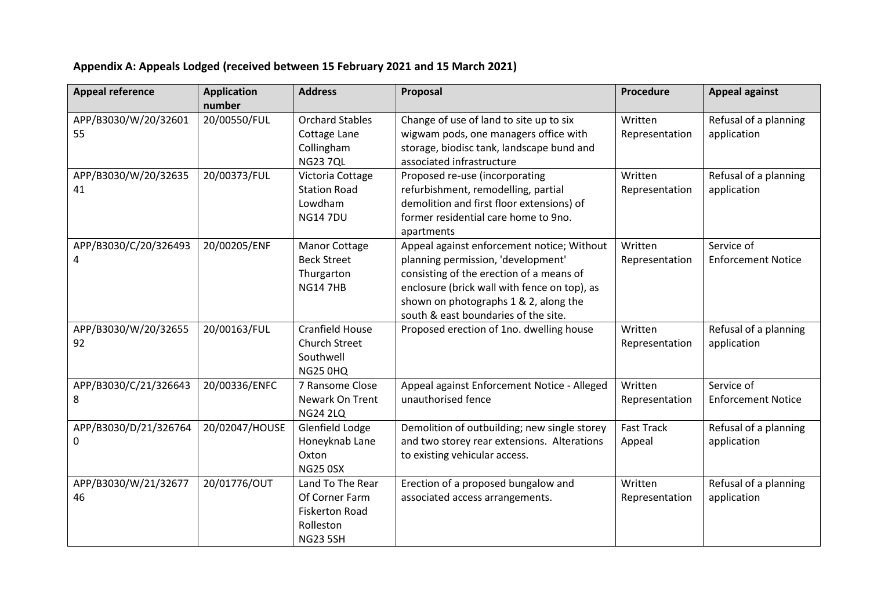## **Appendix A: Appeals Lodged (received between 15 February 2021 and 15 March 2021)**

| <b>Appeal reference</b> | <b>Application</b> | <b>Address</b>                     | Proposal                                                                                    | Procedure         | <b>Appeal against</b>     |
|-------------------------|--------------------|------------------------------------|---------------------------------------------------------------------------------------------|-------------------|---------------------------|
|                         | number             |                                    |                                                                                             |                   |                           |
| APP/B3030/W/20/32601    | 20/00550/FUL       | <b>Orchard Stables</b>             | Change of use of land to site up to six                                                     | Written           | Refusal of a planning     |
| 55                      |                    | Cottage Lane                       | wigwam pods, one managers office with                                                       | Representation    | application               |
|                         |                    | Collingham                         | storage, biodisc tank, landscape bund and                                                   |                   |                           |
|                         |                    | <b>NG23 7QL</b>                    | associated infrastructure                                                                   |                   |                           |
| APP/B3030/W/20/32635    | 20/00373/FUL       | Victoria Cottage                   | Proposed re-use (incorporating                                                              | Written           | Refusal of a planning     |
| 41                      |                    | <b>Station Road</b>                | refurbishment, remodelling, partial                                                         | Representation    | application               |
|                         |                    | Lowdham                            | demolition and first floor extensions) of                                                   |                   |                           |
|                         |                    | <b>NG147DU</b>                     | former residential care home to 9no.                                                        |                   |                           |
|                         |                    |                                    | apartments                                                                                  |                   |                           |
| APP/B3030/C/20/326493   | 20/00205/ENF       | <b>Manor Cottage</b>               | Appeal against enforcement notice; Without                                                  | Written           | Service of                |
| 4                       |                    | <b>Beck Street</b>                 | planning permission, 'development'                                                          | Representation    | <b>Enforcement Notice</b> |
|                         |                    | Thurgarton                         | consisting of the erection of a means of                                                    |                   |                           |
|                         |                    | <b>NG14 7HB</b>                    | enclosure (brick wall with fence on top), as                                                |                   |                           |
|                         |                    |                                    | shown on photographs 1 & 2, along the                                                       |                   |                           |
|                         |                    |                                    | south & east boundaries of the site.                                                        |                   |                           |
| APP/B3030/W/20/32655    | 20/00163/FUL       | <b>Cranfield House</b>             | Proposed erection of 1no. dwelling house                                                    | Written           | Refusal of a planning     |
| 92                      |                    | <b>Church Street</b>               |                                                                                             | Representation    | application               |
|                         |                    | Southwell                          |                                                                                             |                   |                           |
|                         |                    | <b>NG25 0HQ</b>                    |                                                                                             |                   |                           |
| APP/B3030/C/21/326643   | 20/00336/ENFC      | 7 Ransome Close                    | Appeal against Enforcement Notice - Alleged<br>unauthorised fence                           | Written           | Service of                |
| 8                       |                    | Newark On Trent                    |                                                                                             | Representation    | <b>Enforcement Notice</b> |
| APP/B3030/D/21/326764   | 20/02047/HOUSE     | <b>NG24 2LQ</b><br>Glenfield Lodge |                                                                                             | <b>Fast Track</b> |                           |
| 0                       |                    | Honeyknab Lane                     | Demolition of outbuilding; new single storey<br>and two storey rear extensions. Alterations |                   | Refusal of a planning     |
|                         |                    | Oxton                              | to existing vehicular access.                                                               | Appeal            | application               |
|                         |                    | <b>NG25 0SX</b>                    |                                                                                             |                   |                           |
| APP/B3030/W/21/32677    | 20/01776/OUT       | Land To The Rear                   | Erection of a proposed bungalow and                                                         | Written           | Refusal of a planning     |
| 46                      |                    | Of Corner Farm                     | associated access arrangements.                                                             | Representation    | application               |
|                         |                    | <b>Fiskerton Road</b>              |                                                                                             |                   |                           |
|                         |                    | Rolleston                          |                                                                                             |                   |                           |
|                         |                    | <b>NG23 5SH</b>                    |                                                                                             |                   |                           |